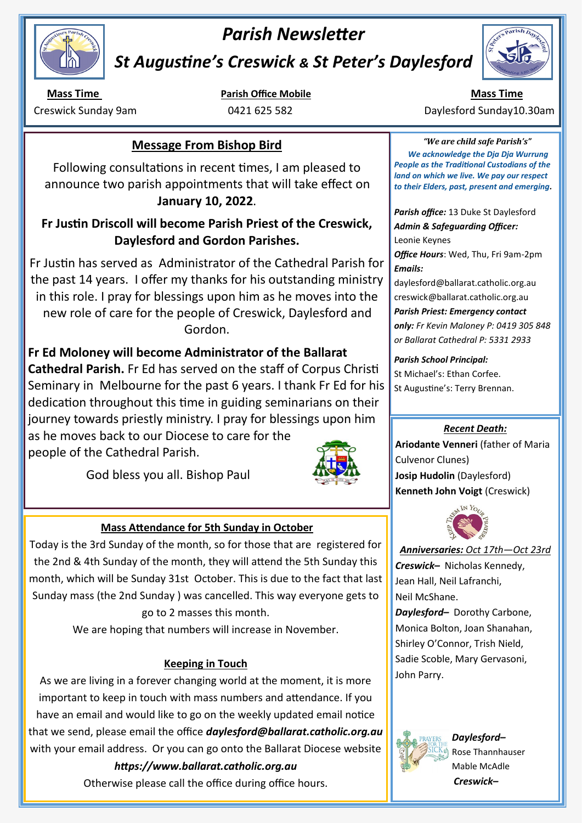

# *Parish Newsletter*

*St Augustine's Creswick & St Peter's Daylesford* 

# **Message From Bishop Bird**

Following consultations in recent times, I am pleased to announce two parish appointments that will take effect on **January 10, 2022**.

# **Fr Justin Driscoll will become Parish Priest of the Creswick, Daylesford and Gordon Parishes.**

Fr Justin has served as Administrator of the Cathedral Parish for the past 14 years. I offer my thanks for his outstanding ministry in this role. I pray for blessings upon him as he moves into the new role of care for the people of Creswick, Daylesford and Gordon.

**Fr Ed Moloney will become Administrator of the Ballarat Cathedral Parish.** Fr Ed has served on the staff of Corpus Christi Seminary in Melbourne for the past 6 years. I thank Fr Ed for his dedication throughout this time in guiding seminarians on their journey towards priestly ministry. I pray for blessings upon him

as he moves back to our Diocese to care for the people of the Cathedral Parish.

God bless you all. Bishop Paul



## **Mass Attendance for 5th Sunday in October**

Today is the 3rd Sunday of the month, so for those that are registered for the 2nd & 4th Sunday of the month, they will attend the 5th Sunday this month, which will be Sunday 31st October. This is due to the fact that last Sunday mass (the 2nd Sunday ) was cancelled. This way everyone gets to go to 2 masses this month.

We are hoping that numbers will increase in November.

## **Keeping in Touch**

As we are living in a forever changing world at the moment, it is more important to keep in touch with mass numbers and attendance. If you have an email and would like to go on the weekly updated email notice that we send, please email the office *daylesford@ballarat.catholic.org.au*  with your email address. Or you can go onto the Ballarat Diocese website

*https://www.ballarat.catholic.org.au*

Otherwise please call the office during office hours.



**Mass Time <b>Parish Office Mobile Mass Time Mass Time Mass Time** Creswick Sunday 9am **0421 625 582** Daylesford Sunday10.30am

> *"We are child safe Parish's" We acknowledge the Dja Dja Wurrung People as the Traditional Custodians of the land on which we live. We pay our respect to their Elders, past, present and emerging.*

*Parish office:* 13 Duke St Daylesford *Admin & Safeguarding Officer:*  Leonie Keynes

*Office Hours*: Wed, Thu, Fri 9am-2pm *Emails:* 

daylesford@ballarat.catholic.org.au creswick@ballarat.catholic.org.au *Parish Priest: Emergency contact only: Fr Kevin Maloney P: 0419 305 848 or Ballarat Cathedral P: 5331 2933*

*Parish School Principal:*  St Michael's: Ethan Corfee. St Augustine's: Terry Brennan.

## *Recent Death:*

**Ariodante Venneri** (father of Maria Culvenor Clunes) **Josip Hudolin** (Daylesford) **Kenneth John Voigt** (Creswick)



*Anniversaries: Oct 17th—Oct 23rd Creswick–* Nicholas Kennedy, Jean Hall, Neil Lafranchi, Neil McShane.

*Daylesford–* Dorothy Carbone, Monica Bolton, Joan Shanahan, Shirley O'Connor, Trish Nield, Sadie Scoble, Mary Gervasoni, John Parry.



*Daylesford–*  Rose Thannhauser Mable McAdle *Creswick–*